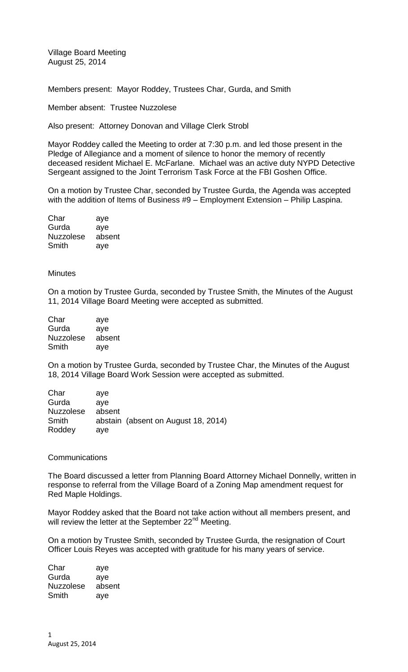Village Board Meeting August 25, 2014

Members present: Mayor Roddey, Trustees Char, Gurda, and Smith

Member absent: Trustee Nuzzolese

Also present: Attorney Donovan and Village Clerk Strobl

Mayor Roddey called the Meeting to order at 7:30 p.m. and led those present in the Pledge of Allegiance and a moment of silence to honor the memory of recently deceased resident Michael E. McFarlane. Michael was an active duty NYPD Detective Sergeant assigned to the Joint Terrorism Task Force at the FBI Goshen Office.

On a motion by Trustee Char, seconded by Trustee Gurda, the Agenda was accepted with the addition of Items of Business #9 – Employment Extension – Philip Laspina.

| Char             | aye    |
|------------------|--------|
| Gurda            | ave    |
| <b>Nuzzolese</b> | absent |
| Smith            | aye    |

## **Minutes**

On a motion by Trustee Gurda, seconded by Trustee Smith, the Minutes of the August 11, 2014 Village Board Meeting were accepted as submitted.

| Char             | aye    |
|------------------|--------|
| Gurda            | aye    |
| <b>Nuzzolese</b> | absent |
| Smith            | aye    |

On a motion by Trustee Gurda, seconded by Trustee Char, the Minutes of the August 18, 2014 Village Board Work Session were accepted as submitted.

| Char                                | ave           |                                     |
|-------------------------------------|---------------|-------------------------------------|
| Gurda                               | ave           |                                     |
| <b>Nuzzolese</b><br>Smith<br>Roddey | absent<br>ave | abstain (absent on August 18, 2014) |

## **Communications**

The Board discussed a letter from Planning Board Attorney Michael Donnelly, written in response to referral from the Village Board of a Zoning Map amendment request for Red Maple Holdings.

Mayor Roddey asked that the Board not take action without all members present, and will review the letter at the September  $22<sup>nd</sup>$  Meeting.

On a motion by Trustee Smith, seconded by Trustee Gurda, the resignation of Court Officer Louis Reyes was accepted with gratitude for his many years of service.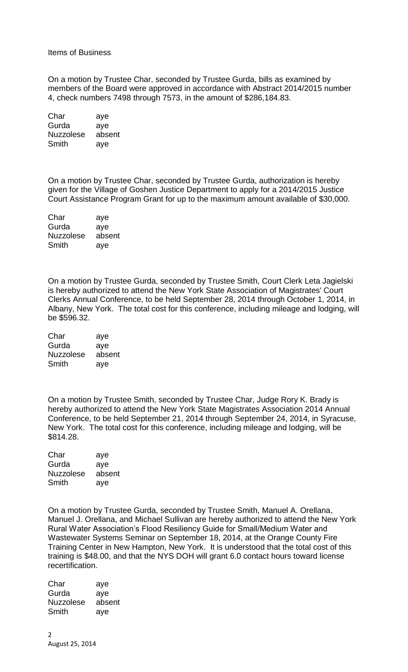## Items of Business

On a motion by Trustee Char, seconded by Trustee Gurda, bills as examined by members of the Board were approved in accordance with Abstract 2014/2015 number 4, check numbers 7498 through 7573, in the amount of \$286,184.83.

| Char             | aye    |
|------------------|--------|
| Gurda            | aye    |
| <b>Nuzzolese</b> | absent |
| Smith            | aye    |

On a motion by Trustee Char, seconded by Trustee Gurda, authorization is hereby given for the Village of Goshen Justice Department to apply for a 2014/2015 Justice Court Assistance Program Grant for up to the maximum amount available of \$30,000.

| Char             | aye    |
|------------------|--------|
| Gurda            | aye    |
| <b>Nuzzolese</b> | absent |
| Smith            | aye    |

On a motion by Trustee Gurda, seconded by Trustee Smith, Court Clerk Leta Jagielski is hereby authorized to attend the New York State Association of Magistrates' Court Clerks Annual Conference, to be held September 28, 2014 through October 1, 2014, in Albany, New York. The total cost for this conference, including mileage and lodging, will be \$596.32.

| Char             | aye    |
|------------------|--------|
| Gurda            | aye    |
| <b>Nuzzolese</b> | absent |
| Smith            | aye    |

On a motion by Trustee Smith, seconded by Trustee Char, Judge Rory K. Brady is hereby authorized to attend the New York State Magistrates Association 2014 Annual Conference, to be held September 21, 2014 through September 24, 2014, in Syracuse, New York. The total cost for this conference, including mileage and lodging, will be \$814.28.

| Char             | aye    |
|------------------|--------|
| Gurda            | aye    |
| <b>Nuzzolese</b> | absent |
| Smith            | aye    |

On a motion by Trustee Gurda, seconded by Trustee Smith, Manuel A. Orellana, Manuel J. Orellana, and Michael Sullivan are hereby authorized to attend the New York Rural Water Association's Flood Resiliency Guide for Small/Medium Water and Wastewater Systems Seminar on September 18, 2014, at the Orange County Fire Training Center in New Hampton, New York. It is understood that the total cost of this training is \$48.00, and that the NYS DOH will grant 6.0 contact hours toward license recertification.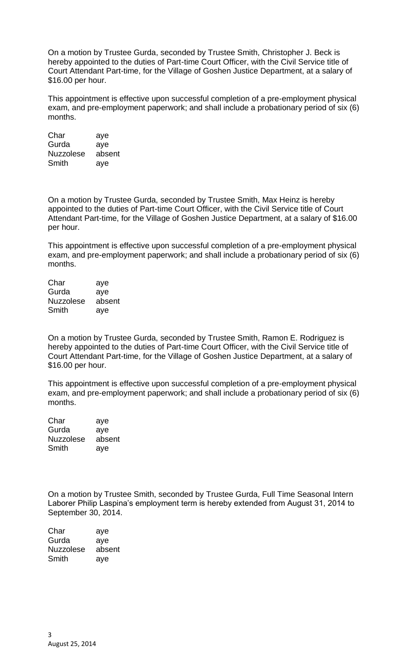On a motion by Trustee Gurda, seconded by Trustee Smith, Christopher J. Beck is hereby appointed to the duties of Part-time Court Officer, with the Civil Service title of Court Attendant Part-time, for the Village of Goshen Justice Department, at a salary of \$16.00 per hour.

This appointment is effective upon successful completion of a pre-employment physical exam, and pre-employment paperwork; and shall include a probationary period of six (6) months.

Char aye Gurda aye Nuzzolese absent Smith aye

On a motion by Trustee Gurda, seconded by Trustee Smith, Max Heinz is hereby appointed to the duties of Part-time Court Officer, with the Civil Service title of Court Attendant Part-time, for the Village of Goshen Justice Department, at a salary of \$16.00 per hour.

This appointment is effective upon successful completion of a pre-employment physical exam, and pre-employment paperwork; and shall include a probationary period of six (6) months.

| Char             | aye    |
|------------------|--------|
| Gurda            | aye    |
| <b>Nuzzolese</b> | absent |
| Smith            | ave    |

On a motion by Trustee Gurda, seconded by Trustee Smith, Ramon E. Rodriguez is hereby appointed to the duties of Part-time Court Officer, with the Civil Service title of Court Attendant Part-time, for the Village of Goshen Justice Department, at a salary of \$16.00 per hour.

This appointment is effective upon successful completion of a pre-employment physical exam, and pre-employment paperwork; and shall include a probationary period of six (6) months.

| Char             | aye    |
|------------------|--------|
| Gurda            | aye    |
| <b>Nuzzolese</b> | absent |
| Smith            | aye    |

On a motion by Trustee Smith, seconded by Trustee Gurda, Full Time Seasonal Intern Laborer Philip Laspina's employment term is hereby extended from August 31, 2014 to September 30, 2014.